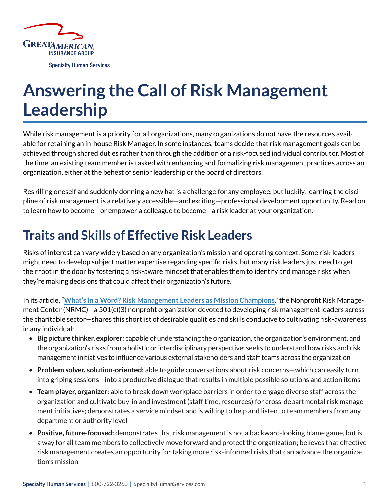

## **Answering the Call of Risk Management Leadership**

While risk management is a priority for all organizations, many organizations do not have the resources available for retaining an in-house Risk Manager. In some instances, teams decide that risk management goals can be achieved through shared duties rather than through the addition of a risk-focused individual contributor. Most of the time, an existing team member is tasked with enhancing and formalizing risk management practices across an organization, either at the behest of senior leadership or the board of directors.

Reskilling oneself and suddenly donning a new hat is a challenge for any employee; but luckily, learning the discipline of risk management is a relatively accessible—and exciting—professional development opportunity. Read on to learn how to become—or empower a colleague to become—a risk leader at your organization.

## **Traits and Skills of Effective Risk Leaders**

Risks of interest can vary widely based on any organization's mission and operating context. Some risk leaders might need to develop subject matter expertise regarding specific risks, but many risk leaders just need to get their foot in the door by fostering a risk-aware mindset that enables them to identify and manage risks when they're making decisions that could affect their organization's future.

In its article, "**[What's in a Word? Risk Management Leaders as Mission Champions](https://nonprofitrisk.org/resources/articles/whats-word-risk-management-leaders-mission-champions/)**," the Nonprofit Risk Management Center (NRMC)—a 501(c)(3) nonprofit organization devoted to developing risk management leaders across the charitable sector—shares this shortlist of desirable qualities and skills conducive to cultivating risk-awareness in any individual:

- **Big picture thinker, explorer:** capable of understanding the organization, the organization's environment, and the organization's risks from a holistic or interdisciplinary perspective; seeks to understand how risks and risk management initiatives to influence various external stakeholders and staff teams across the organization
- **Problem solver, solution-oriented:** able to guide conversations about risk concerns—which can easily turn into griping sessions—into a productive dialogue that results in multiple possible solutions and action items
- **Team player, organizer:** able to break down workplace barriers in order to engage diverse staff across the organization and cultivate buy-in and investment (staff time, resources) for cross-departmental risk management initiatives; demonstrates a service mindset and is willing to help and listen to team members from any department or authority level
- **Positive, future-focused:** demonstrates that risk management is not a backward-looking blame game, but is a way for all team members to collectively move forward and protect the organization; believes that effective risk management creates an opportunity for taking more risk-informed risks that can advance the organization's mission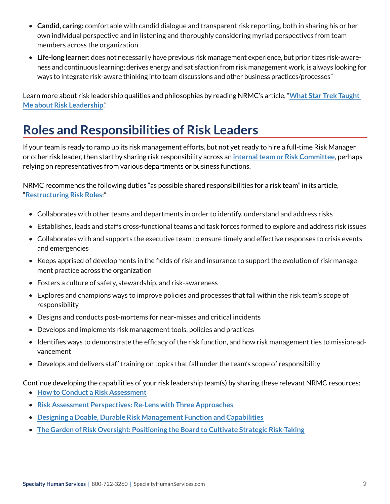- **Candid, caring:** comfortable with candid dialogue and transparent risk reporting, both in sharing his or her own individual perspective and in listening and thoroughly considering myriad perspectives from team members across the organization
- **Life-long learner:** does not necessarily have previous risk management experience, but prioritizes risk-awareness and continuous learning; derives energy and satisfaction from risk management work, is always looking for ways to integrate risk-aware thinking into team discussions and other business practices/processes"

Learn more about risk leadership qualities and philosophies by reading NRMC's article, "**[What Star Trek Taught](https://nonprofitrisk.org/resources/e-news/star-trek-taught-risk-leadership/)  [Me about Risk Leadership](https://nonprofitrisk.org/resources/e-news/star-trek-taught-risk-leadership/)**."

## **Roles and Responsibilities of Risk Leaders**

If your team is ready to ramp up its risk management efforts, but not yet ready to hire a full-time Risk Manager or other risk leader, then start by sharing risk responsibility across an **[internal team or Risk Committee](https://nonprofitrisk.org/resources/articles/the-nitty-gritty-of-a-risk-committee/)**, perhaps relying on representatives from various departments or business functions.

NRMC recommends the following duties "as possible shared responsibilities for a risk team" in its article, "**[Restructuring Risk Roles](https://nonprofitrisk.org/resources/e-news/restructuring-risk-roles/)**:"

- Collaborates with other teams and departments in order to identify, understand and address risks
- Establishes, leads and staffs cross-functional teams and task forces formed to explore and address risk issues
- Collaborates with and supports the executive team to ensure timely and effective responses to crisis events and emergencies
- Keeps apprised of developments in the fields of risk and insurance to support the evolution of risk management practice across the organization
- Fosters a culture of safety, stewardship, and risk-awareness
- Explores and champions ways to improve policies and processes that fall within the risk team's scope of responsibility
- Designs and conducts post-mortems for near-misses and critical incidents
- Develops and implements risk management tools, policies and practices
- Identifies ways to demonstrate the efficacy of the risk function, and how risk management ties to mission-advancement
- Develops and delivers staff training on topics that fall under the team's scope of responsibility

Continue developing the capabilities of your risk leadership team(s) by sharing these relevant NRMC resources:

- **[How to Conduct a Risk Assessment](https://nonprofitrisk.org/resources/e-news/conduct-risk-assessment/)**
- **[Risk Assessment Perspectives: Re-Lens with Three Approaches](https://nonprofitrisk.org/resources/e-news/risk-assessment-perspectives/)**
- **[Designing a Doable, Durable Risk Management Function and Capabilities](https://nonprofitrisk.org/resources/articles/designing-durable-doable-risk-management-function-capabilities/)**
- **[The Garden of Risk Oversight: Positioning the Board to Cultivate Strategic Risk-Taking](https://nonprofitrisk.org/resources/articles/garden-risk-oversight-positioning-board-cultivate-strategic-risk-taking/)**